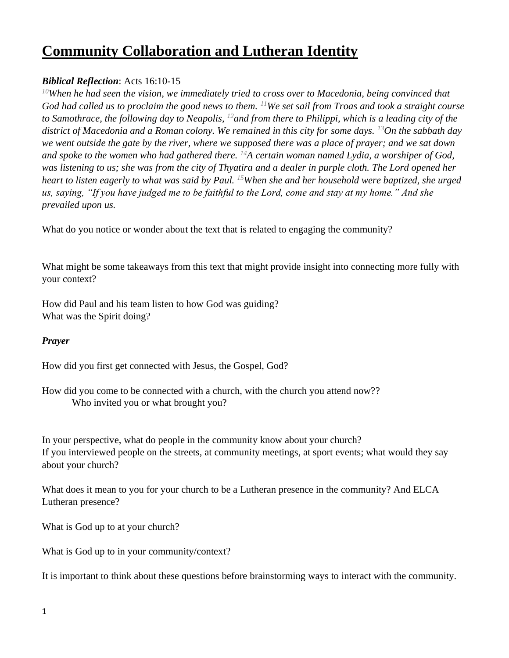# **Community Collaboration and Lutheran Identity**

## *Biblical Reflection*: Acts 16:10-15

*<sup>10</sup>When he had seen the vision, we immediately tried to cross over to Macedonia, being convinced that God had called us to proclaim the good news to them. <sup>11</sup>We set sail from Troas and took a straight course to Samothrace, the following day to Neapolis, <sup>12</sup>and from there to Philippi, which is a leading city of the district of Macedonia and a Roman colony. We remained in this city for some days. <sup>13</sup>On the sabbath day we went outside the gate by the river, where we supposed there was a place of prayer; and we sat down and spoke to the women who had gathered there. <sup>14</sup>A certain woman named Lydia, a worshiper of God, was listening to us; she was from the city of Thyatira and a dealer in purple cloth. The Lord opened her heart to listen eagerly to what was said by Paul. <sup>15</sup>When she and her household were baptized, she urged us, saying, "If you have judged me to be faithful to the Lord, come and stay at my home." And she prevailed upon us.*

What do you notice or wonder about the text that is related to engaging the community?

What might be some takeaways from this text that might provide insight into connecting more fully with your context?

How did Paul and his team listen to how God was guiding? What was the Spirit doing?

#### *Prayer*

How did you first get connected with Jesus, the Gospel, God?

How did you come to be connected with a church, with the church you attend now?? Who invited you or what brought you?

In your perspective, what do people in the community know about your church? If you interviewed people on the streets, at community meetings, at sport events; what would they say about your church?

What does it mean to you for your church to be a Lutheran presence in the community? And ELCA Lutheran presence?

What is God up to at your church?

What is God up to in your community/context?

It is important to think about these questions before brainstorming ways to interact with the community.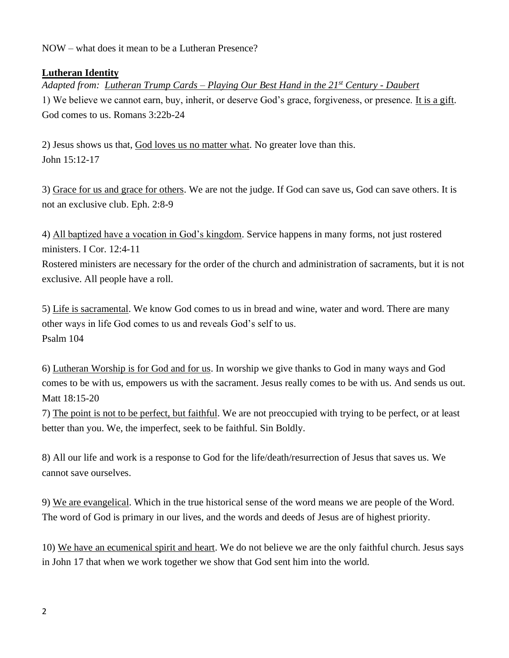NOW – what does it mean to be a Lutheran Presence?

### **Lutheran Identity**

*Adapted from: Lutheran Trump Cards – Playing Our Best Hand in the 21st Century - Daubert* 1) We believe we cannot earn, buy, inherit, or deserve God's grace, forgiveness, or presence. It is a gift. God comes to us. Romans 3:22b-24

2) Jesus shows us that, God loves us no matter what. No greater love than this. John 15:12-17

3) Grace for us and grace for others. We are not the judge. If God can save us, God can save others. It is not an exclusive club. Eph. 2:8-9

4) All baptized have a vocation in God's kingdom. Service happens in many forms, not just rostered ministers. I Cor. 12:4-11

Rostered ministers are necessary for the order of the church and administration of sacraments, but it is not exclusive. All people have a roll.

5) Life is sacramental. We know God comes to us in bread and wine, water and word. There are many other ways in life God comes to us and reveals God's self to us. Psalm 104

6) Lutheran Worship is for God and for us. In worship we give thanks to God in many ways and God comes to be with us, empowers us with the sacrament. Jesus really comes to be with us. And sends us out. Matt 18:15-20

7) The point is not to be perfect, but faithful. We are not preoccupied with trying to be perfect, or at least better than you. We, the imperfect, seek to be faithful. Sin Boldly.

8) All our life and work is a response to God for the life/death/resurrection of Jesus that saves us. We cannot save ourselves.

9) We are evangelical. Which in the true historical sense of the word means we are people of the Word. The word of God is primary in our lives, and the words and deeds of Jesus are of highest priority.

10) We have an ecumenical spirit and heart. We do not believe we are the only faithful church. Jesus says in John 17 that when we work together we show that God sent him into the world.